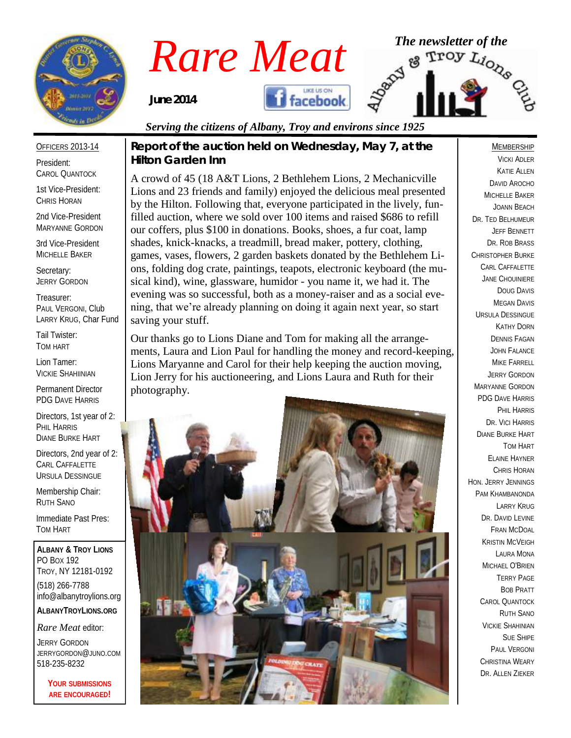

*Rare Meat* <sup>The newsletter of the **Rare Meat**  $\frac{1}{2}$   $\frac{1}{2}$   $\frac{1}{2}$   $\frac{1}{2}$   $\frac{1}{2}$   $\frac{1}{2}$   $\frac{1}{2}$   $\frac{1}{2}$   $\frac{1}{2}$   $\frac{1}{2}$   $\frac{1}{2}$   $\frac{1}{2}$   $\frac{1}{2}$   $\frac{1}{2}$   $\frac{1}{2}$   $\frac{1}{2}$   $\frac{1}{2}$   $\frac{1$ *June 2014* 

## **facebook** *Serving the citizens of Albany, Troy and environs since 1925*

#### OFFICERS 2013-14

President: CAROL QUANTOCK

1st Vice-President: CHRIS HORAN

2nd Vice-President MARYANNE GORDON

3rd Vice-President MICHELLE BAKER

Secretary: JERRY GORDON

Treasurer: PAUL VERGONI, Club LARRY KRUG, Char Fund

Tail Twister: TOM HART

Lion Tamer: VICKIE SHAHIINIAN

Permanent Director PDG DAVE HARRIS

Directors, 1st year of 2: PHIL HARRIS DIANE BURKE HART

Directors, 2nd year of 2: CARL CAFFALETTE URSULA DESSINGUE

Membership Chair: RUTH SANO

Immediate Past Pres: TOM HART

**ALBANY & TROY LIONS** PO BOX 192 TROY, NY 12181-0192 (518) 266-7788 info@albanytroylions.or[g](http://www.rmsanophotography.com/invite/1713858797536aeac9d40aa0.79562650) **ALBANYTROYLIONS.ORG**

*Rare Meat* editor:

JERRY GORDON JERRYGORDON@JUNO.COM 518-235-8232

> **YOUR SUBMISSIONS ARE ENCOURAGED!**

*Report of the auction held on Wednesday, May 7, at the Hilton Garden Inn* 

A crowd of 45 (18 A&T Lions, 2 Bethlehem Lions, 2 Mechanicville Lions and 23 friends and family) enjoyed the delicious meal presented by the Hilton. Following that, everyone participated in the lively, funfilled auction, where we sold over 100 items and raised \$686 to refill our coffers, plus \$100 in donations. Books, shoes, a fur coat, lamp shades, knick-knacks, a treadmill, bread maker, pottery, clothing, games, vases, flowers, 2 garden baskets donated by the Bethlehem Lions, folding dog crate, paintings, teapots, electronic keyboard (the musical kind), wine, glassware, humidor - you name it, we had it. The evening was so successful, both as a money-raiser and as a social evening, that we're already planning on doing it again next year, so start saving your stuff.

Our thanks go to Lions Diane and Tom for making all the arrangements, Laura and Lion Paul for handling the money and record-keeping, Lions Maryanne and Carol for their help keeping the auction moving, Lion Jerry for his auctioneering, and Lions Laura and Ruth for their photography.



#### **MEMBERSHIP**

VICKI ADLER KATIE ALLEN DAVID AROCHO MICHELLE BAKER JOANN BEACH DR. TED BELHUMEUR JEFF BENNETT DR. ROB BRASS CHRISTOPHER BURKE CARL CAFFALETTE JANE CHOUINIERE DOUG DAVIS MEGAN DAVIS URSULA DESSINGUE KATHY DORN DENNIS FAGAN JOHN FALANCE **MIKE FARRELL** JERRY GORDON MARYANNE GORDON PDG DAVE HARRIS PHIL HARRIS DR. VICI HARRIS DIANE BURKE HART TOM HART ELAINE HAYNER CHRIS HORAN HON. JERRY JENNINGS PAM KHAMBANONDA LARRY KRUG DR. DAVID LEVINE FRAN MCDOAL KRISTIN MCVEIGH LAURA MONA MICHAEL O'BRIEN TERRY PAGE BOB PRATT CAROL QUANTOCK RUTH SANO VICKIE SHAHINIAN SUE SHIPE PAUL VERGONI CHRISTINA WEARY DR. ALLEN ZIEKER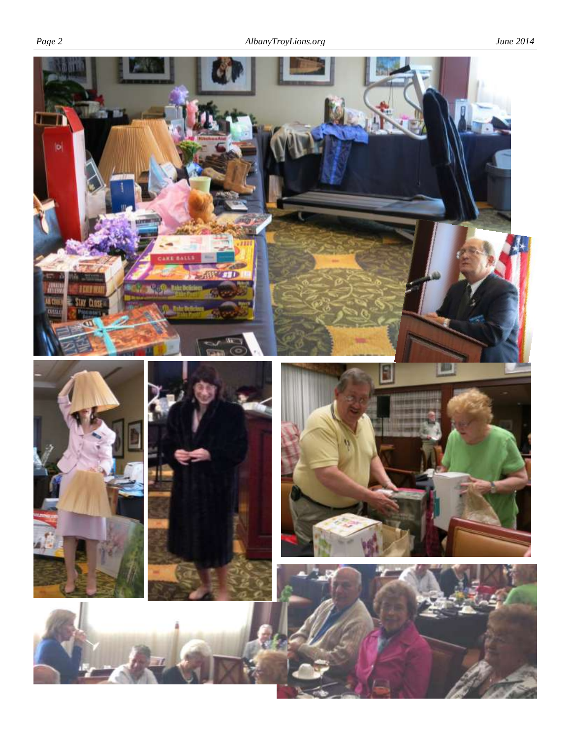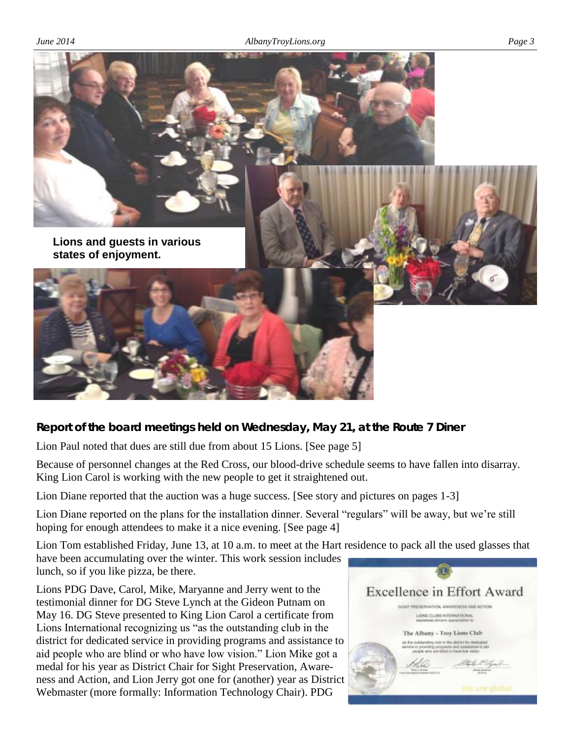

#### *Report of the board meetings held on Wednesday, May 21, at the Route 7 Diner*

Lion Paul noted that dues are still due from about 15 Lions. [See page 5]

Because of personnel changes at the Red Cross, our blood-drive schedule seems to have fallen into disarray. King Lion Carol is working with the new people to get it straightened out.

Lion Diane reported that the auction was a huge success. [See story and pictures on pages 1-3]

Lion Diane reported on the plans for the installation dinner. Several "regulars" will be away, but we're still hoping for enough attendees to make it a nice evening. [See page 4]

Lion Tom established Friday, June 13, at 10 a.m. to meet at the Hart residence to pack all the used glasses that have been accumulating over the winter. This work session includes lunch, so if you like pizza, be there.

Lions PDG Dave, Carol, Mike, Maryanne and Jerry went to the testimonial dinner for DG Steve Lynch at the Gideon Putnam on May 16. DG Steve presented to King Lion Carol a certificate from Lions International recognizing us "as the outstanding club in the district for dedicated service in providing programs and assistance to aid people who are blind or who have low vision." Lion Mike got a medal for his year as District Chair for Sight Preservation, Awareness and Action, and Lion Jerry got one for (another) year as District Webmaster (more formally: Information Technology Chair). PDG

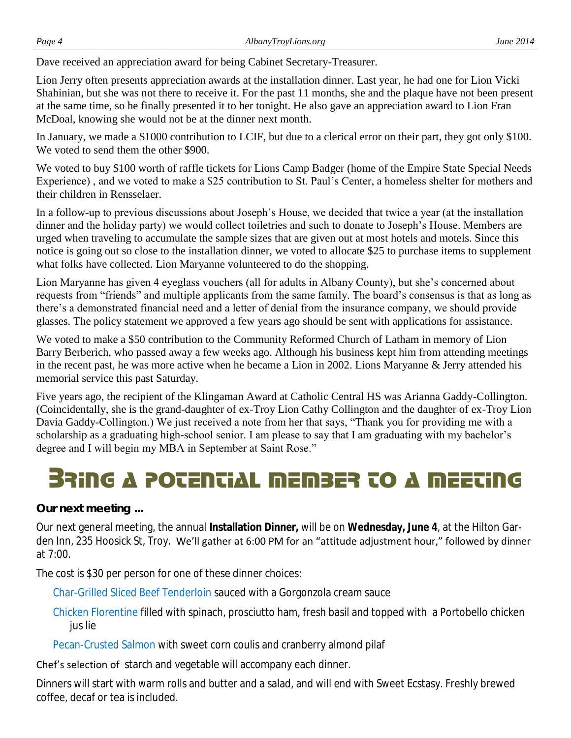Dave received an appreciation award for being Cabinet Secretary-Treasurer.

Lion Jerry often presents appreciation awards at the installation dinner. Last year, he had one for Lion Vicki Shahinian, but she was not there to receive it. For the past 11 months, she and the plaque have not been present at the same time, so he finally presented it to her tonight. He also gave an appreciation award to Lion Fran McDoal, knowing she would not be at the dinner next month.

In January, we made a \$1000 contribution to LCIF, but due to a clerical error on their part, they got only \$100. We voted to send them the other \$900.

We voted to buy \$100 worth of raffle tickets for Lions Camp Badger (home of the Empire State Special Needs Experience) , and we voted to make a \$25 contribution to St. Paul's Center, a homeless shelter for mothers and their children in Rensselaer.

In a follow-up to previous discussions about Joseph's House, we decided that twice a year (at the installation dinner and the holiday party) we would collect toiletries and such to donate to Joseph's House. Members are urged when traveling to accumulate the sample sizes that are given out at most hotels and motels. Since this notice is going out so close to the installation dinner, we voted to allocate \$25 to purchase items to supplement what folks have collected. Lion Maryanne volunteered to do the shopping.

Lion Maryanne has given 4 eyeglass vouchers (all for adults in Albany County), but she's concerned about requests from "friends" and multiple applicants from the same family. The board's consensus is that as long as there's a demonstrated financial need and a letter of denial from the insurance company, we should provide glasses. The policy statement we approved a few years ago should be sent with applications for assistance.

We voted to make a \$50 contribution to the Community Reformed Church of Latham in memory of Lion Barry Berberich, who passed away a few weeks ago. Although his business kept him from attending meetings in the recent past, he was more active when he became a Lion in 2002. Lions Maryanne & Jerry attended his memorial service this past Saturday.

Five years ago, the recipient of the Klingaman Award at Catholic Central HS was Arianna Gaddy-Collington. (Coincidentally, she is the grand-daughter of ex-Troy Lion Cathy Collington and the daughter of ex-Troy Lion Davia Gaddy-Collington.) We just received a note from her that says, "Thank you for providing me with a scholarship as a graduating high-school senior. I am please to say that I am graduating with my bachelor's degree and I will begin my MBA in September at Saint Rose."

# BRING A POTENTIAL MEMBER TO A MEETING

#### *Our next meeting ...*

Our next general meeting, the annual **Installation Dinner,** will be on **Wednesday, June 4**, at the Hilton Garden Inn, 235 Hoosick St, Troy. We'll gather at 6:00 PM for an "attitude adjustment hour," followed by dinner at 7:00.

The cost is \$30 per person for one of these dinner choices:

Char-Grilled Sliced Beef Tenderloin sauced with a Gorgonzola cream sauce

Chicken Florentine filled with spinach, prosciutto ham, fresh basil and topped with a Portobello chicken jus lie

Pecan-Crusted Salmon with sweet corn coulis and cranberry almond pilaf

Chef's selection of starch and vegetable will accompany each dinner.

Dinners will start with warm rolls and butter and a salad, and will end with Sweet Ecstasy. Freshly brewed coffee, decaf or tea is included.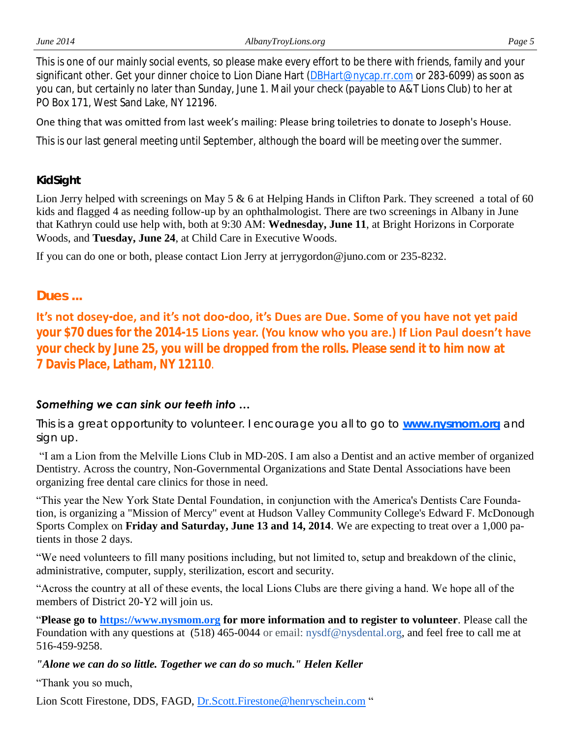This is one of our mainly social events, so please make every effort to be there with friends, family and your significant other. Get your dinner choice to Lion Diane Hart ([DBHart@nycap.rr.com](mailto:DBHart@nycap.rr.com) or 283-6099) as soon as you can, but certainly no later than Sunday, June 1. Mail your check (payable to A&T Lions Club) to her at PO Box 171, West Sand Lake, NY 12196.

#### One thing that was omitted from last week's mailing: Please bring toiletries to donate to Joseph's House.

This is our last general meeting until September, although the board will be meeting over the summer.

#### *KidSight*

Lion Jerry helped with screenings on May 5 & 6 at Helping Hands in Clifton Park. They screened a total of 60 kids and flagged 4 as needing follow-up by an ophthalmologist. There are two screenings in Albany in June that Kathryn could use help with, both at 9:30 AM: **Wednesday, June 11**, at Bright Horizons in Corporate Woods, and **Tuesday, June 24**, at Child Care in Executive Woods.

If you can do one or both, please contact Lion Jerry at jerrygordon@juno.com or 235-8232.

#### *Dues ...*

**It's not dosey-doe, and it's not doo-doo, it's Dues are Due. Some of you have not yet paid your \$70 dues for the 2014-15 Lions year. (You know who you are.) If Lion Paul doesn't have your check by June 25, you will be dropped from the rolls. Please send it to him now at 7 Davis Place, Latham, NY 12110**.

#### *Something we can sink our teeth into …*

This is a great opportunity to volunteer. I encourage you all to go to www.nysmom.org and *sign up.*

"I am a Lion from the Melville Lions Club in MD-20S. I am also a Dentist and an active member of organized Dentistry. Across the country, Non-Governmental Organizations and State Dental Associations have been organizing free dental care clinics for those in need.

"This year the New York State Dental Foundation, in conjunction with the America's Dentists Care Foundation, is organizing a "Mission of Mercy" event at Hudson Valley Community College's Edward F. McDonough [Sports Complex](https://www.hvcc.edu/campusmap/campus_map.html) on **Friday and Saturday, June 13 and 14, 2014**. We are expecting to treat over a 1,000 patients in those 2 days.

"We need volunteers to fill many positions including, but not limited to, setup and breakdown of the clinic, administrative, computer, supply, sterilization, escort and security.

"Across the country at all of these events, the local Lions Clubs are there giving a hand. We hope all of the members of District 20-Y2 will join us.

"**Please go to [https://www.nysmom.org](https://www.nysmom.org/) for more information and to register to volunteer**. Please call the Foundation with any questions at [\(518\) 465-0044](tel:%28518%29%20465-0044) or email: [nysdf@nysdental.org, and f](mailto:nysdf@nysdental.org)eel free to call me at [516-459-9258.](tel:516-459-9258)

*"Alone we can do so little. Together we can do so much." Helen Keller*

"Thank you so much,

Lion Scott Firestone, DDS, FAGD, [Dr.Scott.Firestone@henryschein.com](mailto:Dr.Scott.Firestone@henryschein.com) "